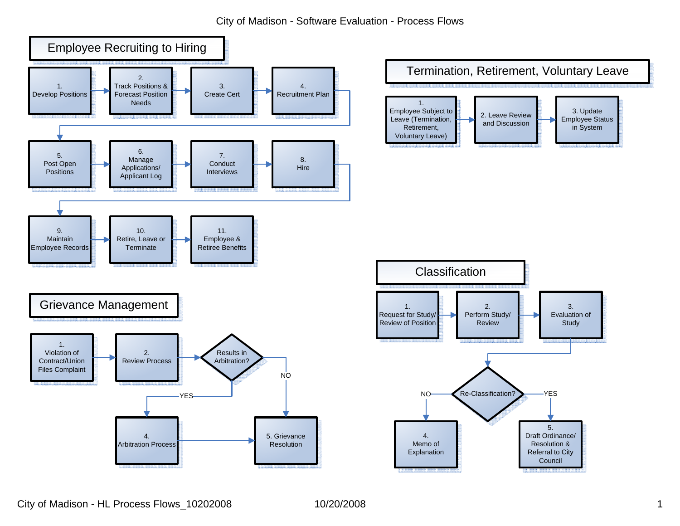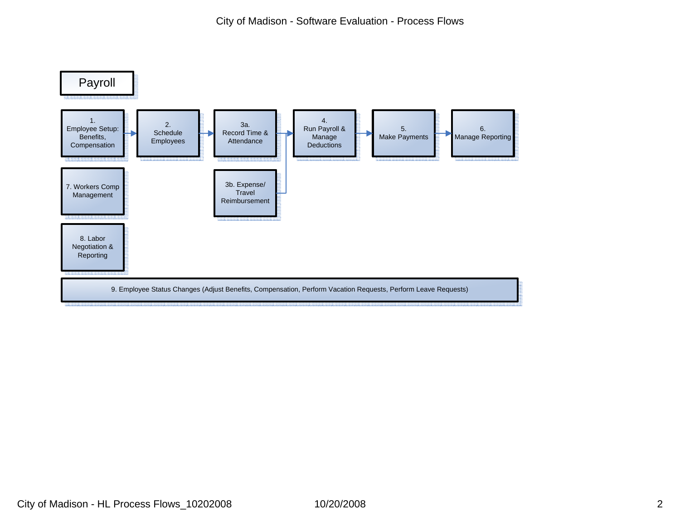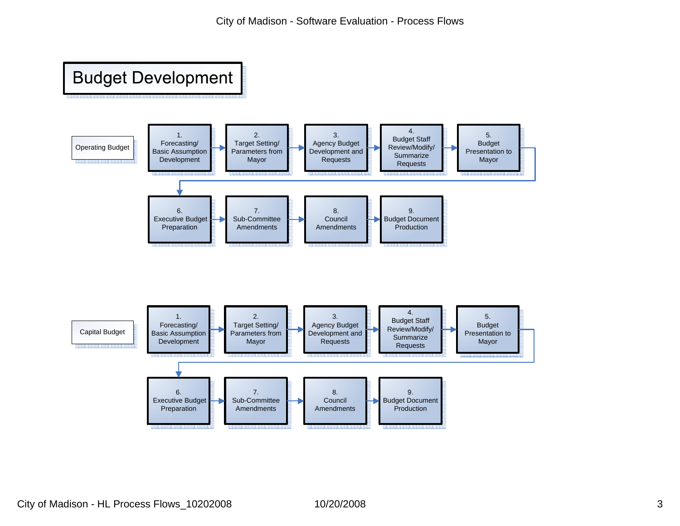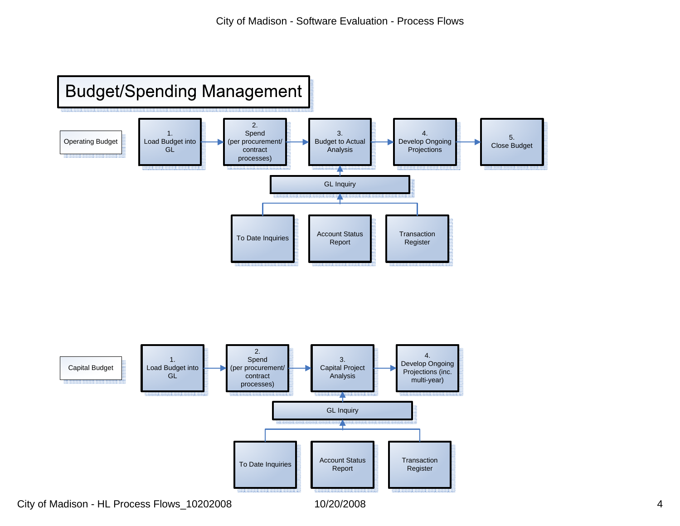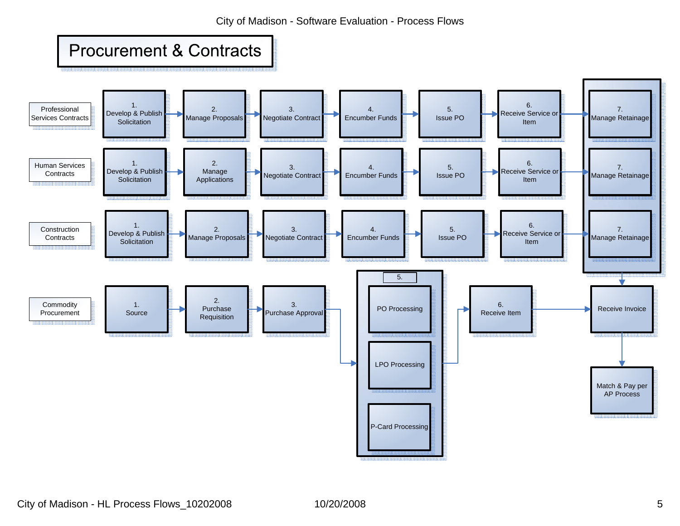City of Madison - Software Evaluation - Process Flows

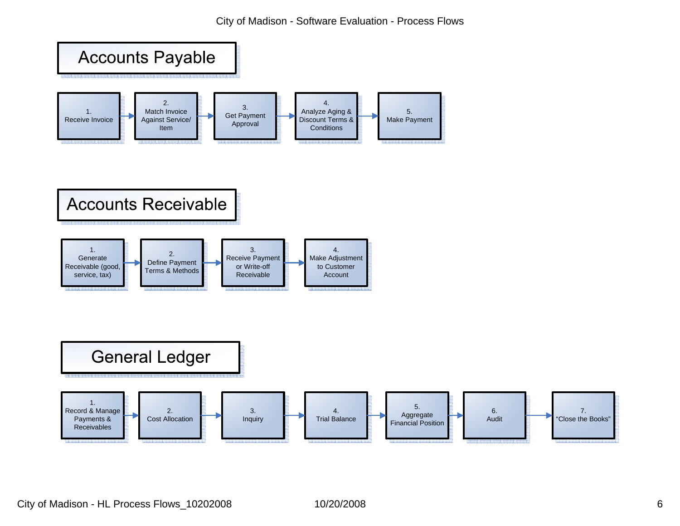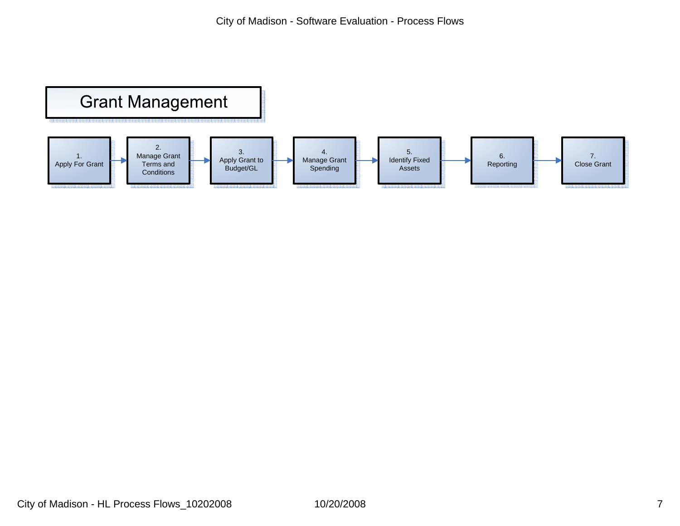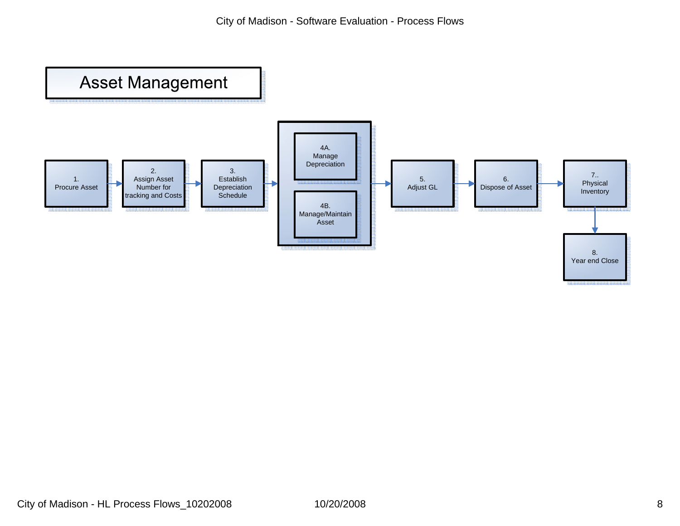